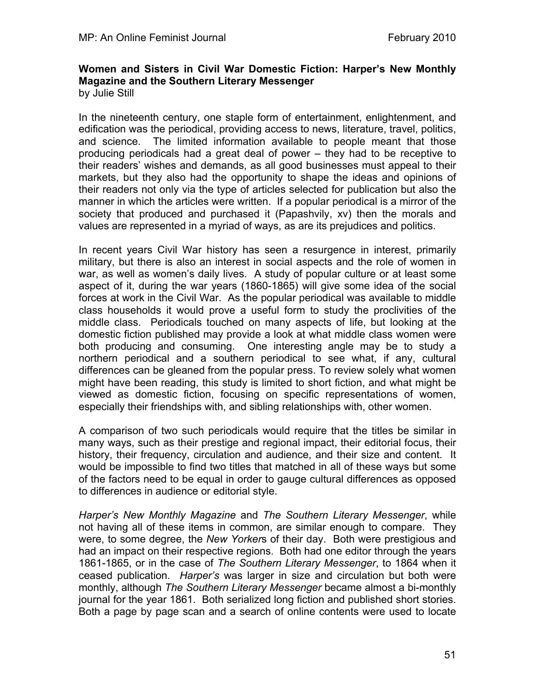## **Women and Sisters in Civil War Domestic Fiction: Harper's New Monthly Magazine and the Southern Literary Messenger** by Julie Still

In the nineteenth century, one staple form of entertainment, enlightenment, and edification was the periodical, providing access to news, literature, travel, politics, and science. The limited information available to people meant that those producing periodicals had a great deal of power – they had to be receptive to their readers' wishes and demands, as all good businesses must appeal to their markets, but they also had the opportunity to shape the ideas and opinions of their readers not only via the type of articles selected for publication but also the manner in which the articles were written. If a popular periodical is a mirror of the society that produced and purchased it (Papashvily, xv) then the morals and values are represented in a myriad of ways, as are its prejudices and politics.

In recent years Civil War history has seen a resurgence in interest, primarily military, but there is also an interest in social aspects and the role of women in war, as well as women's daily lives. A study of popular culture or at least some aspect of it, during the war years (1860-1865) will give some idea of the social forces at work in the Civil War. As the popular periodical was available to middle class households it would prove a useful form to study the proclivities of the middle class. Periodicals touched on many aspects of life, but looking at the domestic fiction published may provide a look at what middle class women were both producing and consuming. One interesting angle may be to study a northern periodical and a southern periodical to see what, if any, cultural differences can be gleaned from the popular press. To review solely what women might have been reading, this study is limited to short fiction, and what might be viewed as domestic fiction, focusing on specific representations of women, especially their friendships with, and sibling relationships with, other women.

A comparison of two such periodicals would require that the titles be similar in many ways, such as their prestige and regional impact, their editorial focus, their history, their frequency, circulation and audience, and their size and content. It would be impossible to find two titles that matched in all of these ways but some of the factors need to be equal in order to gauge cultural differences as opposed to differences in audience or editorial style.

*Harper's New Monthly Magazine* and *The Southern Literary Messenger*, while not having all of these items in common, are similar enough to compare. They were, to some degree, the *New Yorker*s of their day. Both were prestigious and had an impact on their respective regions. Both had one editor through the years 1861-1865, or in the case of *The Southern Literary Messenger*, to 1864 when it ceased publication. *Harper's* was larger in size and circulation but both were monthly, although *The Southern Literary Messenger* became almost a bi-monthly journal for the year 1861. Both serialized long fiction and published short stories. Both a page by page scan and a search of online contents were used to locate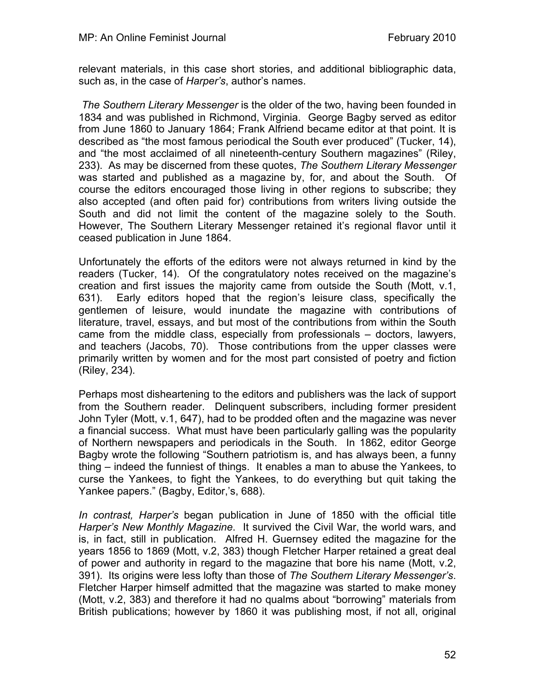relevant materials, in this case short stories, and additional bibliographic data, such as, in the case of *Harper's*, author's names.

 *The Southern Literary Messenger* is the older of the two, having been founded in 1834 and was published in Richmond, Virginia. George Bagby served as editor from June 1860 to January 1864; Frank Alfriend became editor at that point. It is described as "the most famous periodical the South ever produced" (Tucker, 14), and "the most acclaimed of all nineteenth-century Southern magazines" (Riley, 233). As may be discerned from these quotes, *The Southern Literary Messenger* was started and published as a magazine by, for, and about the South. Of course the editors encouraged those living in other regions to subscribe; they also accepted (and often paid for) contributions from writers living outside the South and did not limit the content of the magazine solely to the South. However, The Southern Literary Messenger retained it's regional flavor until it ceased publication in June 1864.

Unfortunately the efforts of the editors were not always returned in kind by the readers (Tucker, 14). Of the congratulatory notes received on the magazine's creation and first issues the majority came from outside the South (Mott, v.1, 631). Early editors hoped that the region's leisure class, specifically the gentlemen of leisure, would inundate the magazine with contributions of literature, travel, essays, and but most of the contributions from within the South came from the middle class, especially from professionals – doctors, lawyers, and teachers (Jacobs, 70). Those contributions from the upper classes were primarily written by women and for the most part consisted of poetry and fiction (Riley, 234).

Perhaps most disheartening to the editors and publishers was the lack of support from the Southern reader. Delinquent subscribers, including former president John Tyler (Mott, v.1, 647), had to be prodded often and the magazine was never a financial success. What must have been particularly galling was the popularity of Northern newspapers and periodicals in the South. In 1862, editor George Bagby wrote the following "Southern patriotism is, and has always been, a funny thing – indeed the funniest of things. It enables a man to abuse the Yankees, to curse the Yankees, to fight the Yankees, to do everything but quit taking the Yankee papers." (Bagby, Editor,'s, 688).

*In contrast, Harper's* began publication in June of 1850 with the official title *Harper's New Monthly Magazine*. It survived the Civil War, the world wars, and is, in fact, still in publication. Alfred H. Guernsey edited the magazine for the years 1856 to 1869 (Mott, v.2, 383) though Fletcher Harper retained a great deal of power and authority in regard to the magazine that bore his name (Mott, v.2, 391). Its origins were less lofty than those of *The Southern Literary Messenger's*. Fletcher Harper himself admitted that the magazine was started to make money (Mott, v.2, 383) and therefore it had no qualms about "borrowing" materials from British publications; however by 1860 it was publishing most, if not all, original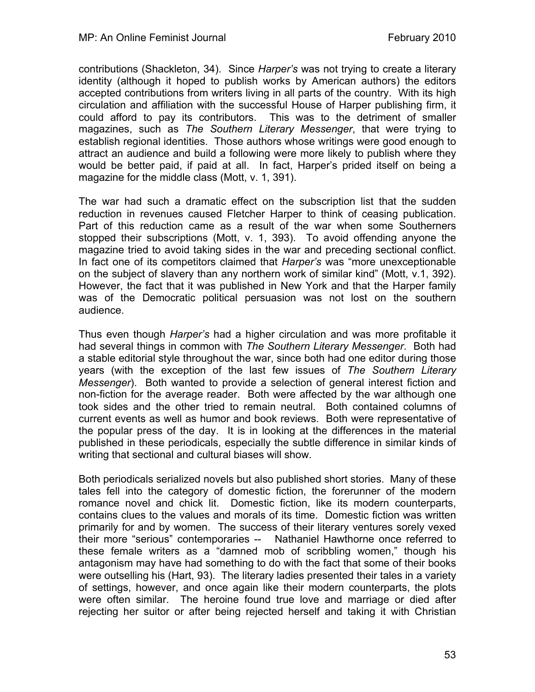contributions (Shackleton, 34). Since *Harper's* was not trying to create a literary identity (although it hoped to publish works by American authors) the editors accepted contributions from writers living in all parts of the country. With its high circulation and affiliation with the successful House of Harper publishing firm, it could afford to pay its contributors. This was to the detriment of smaller magazines, such as *The Southern Literary Messenger*, that were trying to establish regional identities. Those authors whose writings were good enough to attract an audience and build a following were more likely to publish where they would be better paid, if paid at all. In fact, Harper's prided itself on being a magazine for the middle class (Mott, v. 1, 391).

The war had such a dramatic effect on the subscription list that the sudden reduction in revenues caused Fletcher Harper to think of ceasing publication. Part of this reduction came as a result of the war when some Southerners stopped their subscriptions (Mott, v. 1, 393). To avoid offending anyone the magazine tried to avoid taking sides in the war and preceding sectional conflict. In fact one of its competitors claimed that *Harper's* was "more unexceptionable on the subject of slavery than any northern work of similar kind" (Mott, v.1, 392). However, the fact that it was published in New York and that the Harper family was of the Democratic political persuasion was not lost on the southern audience.

Thus even though *Harper's* had a higher circulation and was more profitable it had several things in common with *The Southern Literary Messenger*. Both had a stable editorial style throughout the war, since both had one editor during those years (with the exception of the last few issues of *The Southern Literary Messenger*). Both wanted to provide a selection of general interest fiction and non-fiction for the average reader. Both were affected by the war although one took sides and the other tried to remain neutral. Both contained columns of current events as well as humor and book reviews. Both were representative of the popular press of the day. It is in looking at the differences in the material published in these periodicals, especially the subtle difference in similar kinds of writing that sectional and cultural biases will show.

Both periodicals serialized novels but also published short stories. Many of these tales fell into the category of domestic fiction, the forerunner of the modern romance novel and chick lit. Domestic fiction, like its modern counterparts, contains clues to the values and morals of its time. Domestic fiction was written primarily for and by women. The success of their literary ventures sorely vexed their more "serious" contemporaries -- Nathaniel Hawthorne once referred to these female writers as a "damned mob of scribbling women," though his antagonism may have had something to do with the fact that some of their books were outselling his (Hart, 93). The literary ladies presented their tales in a variety of settings, however, and once again like their modern counterparts, the plots were often similar. The heroine found true love and marriage or died after rejecting her suitor or after being rejected herself and taking it with Christian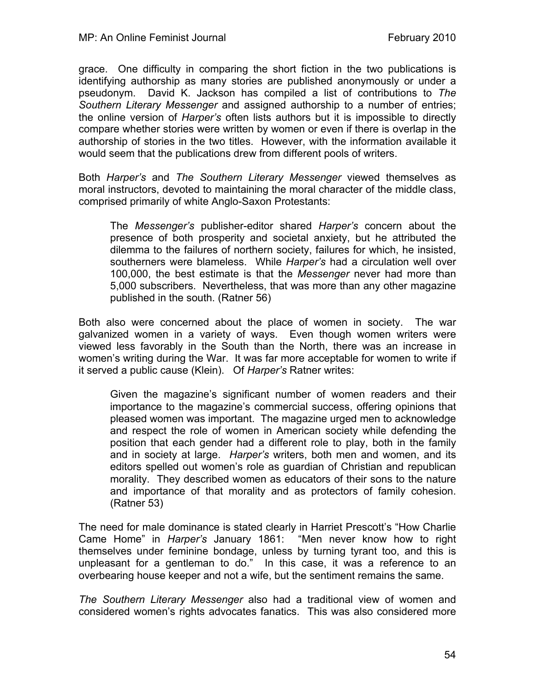grace. One difficulty in comparing the short fiction in the two publications is identifying authorship as many stories are published anonymously or under a pseudonym. David K. Jackson has compiled a list of contributions to *The Southern Literary Messenger* and assigned authorship to a number of entries; the online version of *Harper's* often lists authors but it is impossible to directly compare whether stories were written by women or even if there is overlap in the authorship of stories in the two titles. However, with the information available it would seem that the publications drew from different pools of writers.

Both *Harper's* and *The Southern Literary Messenger* viewed themselves as moral instructors, devoted to maintaining the moral character of the middle class, comprised primarily of white Anglo-Saxon Protestants:

The *Messenger's* publisher-editor shared *Harper's* concern about the presence of both prosperity and societal anxiety, but he attributed the dilemma to the failures of northern society, failures for which, he insisted, southerners were blameless. While *Harper's* had a circulation well over 100,000, the best estimate is that the *Messenger* never had more than 5,000 subscribers. Nevertheless, that was more than any other magazine published in the south. (Ratner 56)

Both also were concerned about the place of women in society. The war galvanized women in a variety of ways. Even though women writers were viewed less favorably in the South than the North, there was an increase in women's writing during the War. It was far more acceptable for women to write if it served a public cause (Klein). Of *Harper's* Ratner writes:

Given the magazine's significant number of women readers and their importance to the magazine's commercial success, offering opinions that pleased women was important. The magazine urged men to acknowledge and respect the role of women in American society while defending the position that each gender had a different role to play, both in the family and in society at large. *Harper's* writers, both men and women, and its editors spelled out women's role as guardian of Christian and republican morality. They described women as educators of their sons to the nature and importance of that morality and as protectors of family cohesion. (Ratner 53)

The need for male dominance is stated clearly in Harriet Prescott's "How Charlie Came Home" in *Harper's* January 1861: "Men never know how to right themselves under feminine bondage, unless by turning tyrant too, and this is unpleasant for a gentleman to do." In this case, it was a reference to an overbearing house keeper and not a wife, but the sentiment remains the same.

*The Southern Literary Messenger* also had a traditional view of women and considered women's rights advocates fanatics. This was also considered more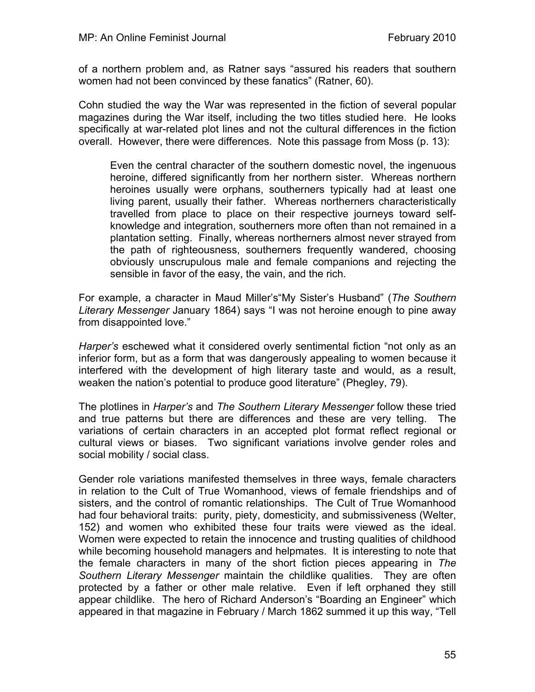of a northern problem and, as Ratner says "assured his readers that southern women had not been convinced by these fanatics" (Ratner, 60).

Cohn studied the way the War was represented in the fiction of several popular magazines during the War itself, including the two titles studied here. He looks specifically at war-related plot lines and not the cultural differences in the fiction overall. However, there were differences. Note this passage from Moss (p. 13):

Even the central character of the southern domestic novel, the ingenuous heroine, differed significantly from her northern sister. Whereas northern heroines usually were orphans, southerners typically had at least one living parent, usually their father. Whereas northerners characteristically travelled from place to place on their respective journeys toward selfknowledge and integration, southerners more often than not remained in a plantation setting. Finally, whereas northerners almost never strayed from the path of righteousness, southerners frequently wandered, choosing obviously unscrupulous male and female companions and rejecting the sensible in favor of the easy, the vain, and the rich.

For example, a character in Maud Miller's"My Sister's Husband" (*The Southern Literary Messenger* January 1864) says "I was not heroine enough to pine away from disappointed love."

*Harper's* eschewed what it considered overly sentimental fiction "not only as an inferior form, but as a form that was dangerously appealing to women because it interfered with the development of high literary taste and would, as a result, weaken the nation's potential to produce good literature" (Phegley, 79).

The plotlines in *Harper's* and *The Southern Literary Messenger* follow these tried and true patterns but there are differences and these are very telling. The variations of certain characters in an accepted plot format reflect regional or cultural views or biases. Two significant variations involve gender roles and social mobility / social class.

Gender role variations manifested themselves in three ways, female characters in relation to the Cult of True Womanhood, views of female friendships and of sisters, and the control of romantic relationships. The Cult of True Womanhood had four behavioral traits: purity, piety, domesticity, and submissiveness (Welter, 152) and women who exhibited these four traits were viewed as the ideal. Women were expected to retain the innocence and trusting qualities of childhood while becoming household managers and helpmates. It is interesting to note that the female characters in many of the short fiction pieces appearing in *The Southern Literary Messenger* maintain the childlike qualities. They are often protected by a father or other male relative. Even if left orphaned they still appear childlike. The hero of Richard Anderson's "Boarding an Engineer" which appeared in that magazine in February / March 1862 summed it up this way, "Tell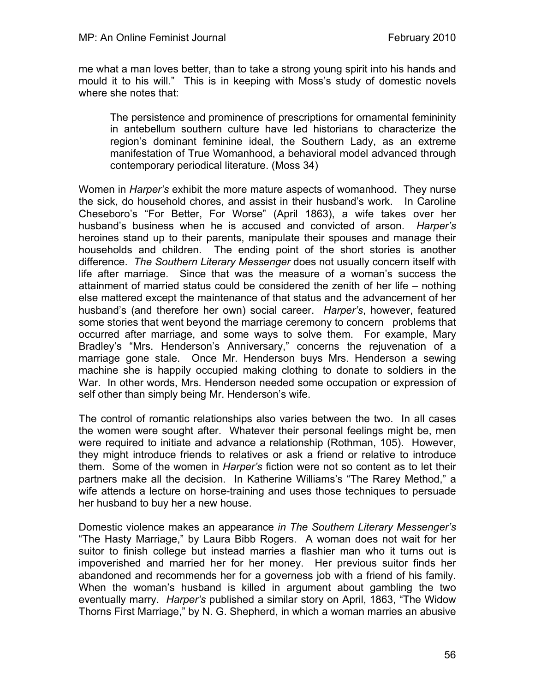me what a man loves better, than to take a strong young spirit into his hands and mould it to his will." This is in keeping with Moss's study of domestic novels where she notes that:

The persistence and prominence of prescriptions for ornamental femininity in antebellum southern culture have led historians to characterize the region's dominant feminine ideal, the Southern Lady, as an extreme manifestation of True Womanhood, a behavioral model advanced through contemporary periodical literature. (Moss 34)

Women in *Harper's* exhibit the more mature aspects of womanhood. They nurse the sick, do household chores, and assist in their husband's work. In Caroline Cheseboro's "For Better, For Worse" (April 1863), a wife takes over her husband's business when he is accused and convicted of arson. *Harper's* heroines stand up to their parents, manipulate their spouses and manage their households and children. The ending point of the short stories is another difference. *The Southern Literary Messenger* does not usually concern itself with life after marriage. Since that was the measure of a woman's success the attainment of married status could be considered the zenith of her life – nothing else mattered except the maintenance of that status and the advancement of her husband's (and therefore her own) social career. *Harper's*, however, featured some stories that went beyond the marriage ceremony to concern problems that occurred after marriage, and some ways to solve them. For example, Mary Bradley's "Mrs. Henderson's Anniversary," concerns the rejuvenation of a marriage gone stale. Once Mr. Henderson buys Mrs. Henderson a sewing machine she is happily occupied making clothing to donate to soldiers in the War. In other words, Mrs. Henderson needed some occupation or expression of self other than simply being Mr. Henderson's wife.

The control of romantic relationships also varies between the two. In all cases the women were sought after. Whatever their personal feelings might be, men were required to initiate and advance a relationship (Rothman, 105). However, they might introduce friends to relatives or ask a friend or relative to introduce them. Some of the women in *Harper's* fiction were not so content as to let their partners make all the decision. In Katherine Williams's "The Rarey Method," a wife attends a lecture on horse-training and uses those techniques to persuade her husband to buy her a new house.

Domestic violence makes an appearance *in The Southern Literary Messenger's* "The Hasty Marriage," by Laura Bibb Rogers. A woman does not wait for her suitor to finish college but instead marries a flashier man who it turns out is impoverished and married her for her money. Her previous suitor finds her abandoned and recommends her for a governess job with a friend of his family. When the woman's husband is killed in argument about gambling the two eventually marry. *Harper's* published a similar story on April, 1863, "The Widow Thorns First Marriage," by N. G. Shepherd, in which a woman marries an abusive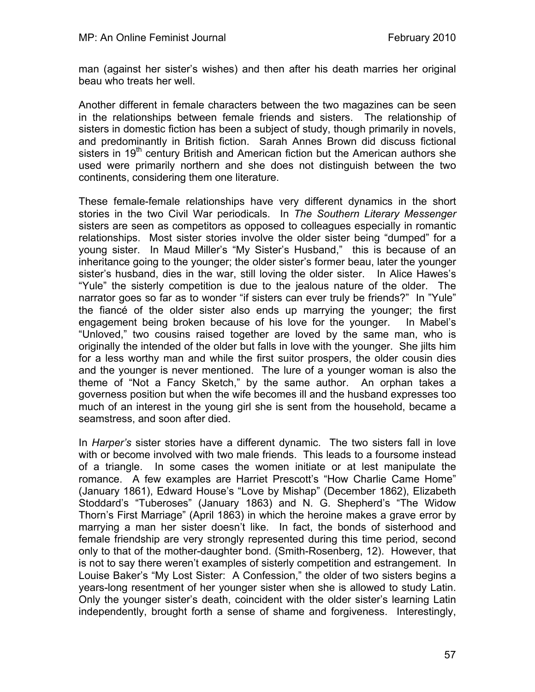man (against her sister's wishes) and then after his death marries her original beau who treats her well.

Another different in female characters between the two magazines can be seen in the relationships between female friends and sisters. The relationship of sisters in domestic fiction has been a subject of study, though primarily in novels, and predominantly in British fiction. Sarah Annes Brown did discuss fictional sisters in 19<sup>th</sup> century British and American fiction but the American authors she used were primarily northern and she does not distinguish between the two continents, considering them one literature.

These female-female relationships have very different dynamics in the short stories in the two Civil War periodicals. In *The Southern Literary Messenger* sisters are seen as competitors as opposed to colleagues especially in romantic relationships. Most sister stories involve the older sister being "dumped" for a young sister. In Maud Miller's "My Sister's Husband," this is because of an inheritance going to the younger; the older sister's former beau, later the younger sister's husband, dies in the war, still loving the older sister. In Alice Hawes's "Yule" the sisterly competition is due to the jealous nature of the older. The narrator goes so far as to wonder "if sisters can ever truly be friends?" In "Yule" the fiancé of the older sister also ends up marrying the younger; the first engagement being broken because of his love for the younger. In Mabel's "Unloved," two cousins raised together are loved by the same man, who is originally the intended of the older but falls in love with the younger. She jilts him for a less worthy man and while the first suitor prospers, the older cousin dies and the younger is never mentioned. The lure of a younger woman is also the theme of "Not a Fancy Sketch," by the same author. An orphan takes a governess position but when the wife becomes ill and the husband expresses too much of an interest in the young girl she is sent from the household, became a seamstress, and soon after died.

In *Harper's* sister stories have a different dynamic. The two sisters fall in love with or become involved with two male friends. This leads to a foursome instead of a triangle. In some cases the women initiate or at lest manipulate the romance. A few examples are Harriet Prescott's "How Charlie Came Home" (January 1861), Edward House's "Love by Mishap" (December 1862), Elizabeth Stoddard's "Tuberoses" (January 1863) and N. G. Shepherd's "The Widow Thorn's First Marriage" (April 1863) in which the heroine makes a grave error by marrying a man her sister doesn't like. In fact, the bonds of sisterhood and female friendship are very strongly represented during this time period, second only to that of the mother-daughter bond. (Smith-Rosenberg, 12). However, that is not to say there weren't examples of sisterly competition and estrangement. In Louise Baker's "My Lost Sister: A Confession," the older of two sisters begins a years-long resentment of her younger sister when she is allowed to study Latin. Only the younger sister's death, coincident with the older sister's learning Latin independently, brought forth a sense of shame and forgiveness. Interestingly,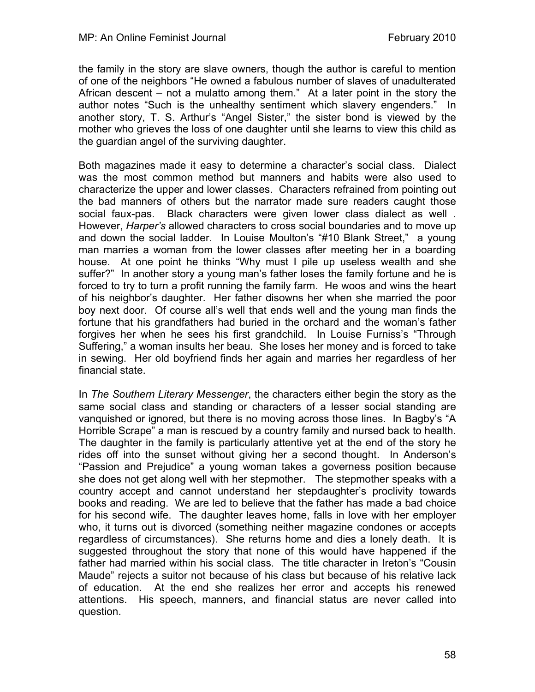the family in the story are slave owners, though the author is careful to mention of one of the neighbors "He owned a fabulous number of slaves of unadulterated African descent – not a mulatto among them." At a later point in the story the author notes "Such is the unhealthy sentiment which slavery engenders." In another story, T. S. Arthur's "Angel Sister," the sister bond is viewed by the mother who grieves the loss of one daughter until she learns to view this child as the guardian angel of the surviving daughter.

Both magazines made it easy to determine a character's social class. Dialect was the most common method but manners and habits were also used to characterize the upper and lower classes. Characters refrained from pointing out the bad manners of others but the narrator made sure readers caught those social faux-pas. Black characters were given lower class dialect as well . However, *Harper's* allowed characters to cross social boundaries and to move up and down the social ladder. In Louise Moulton's "#10 Blank Street," a young man marries a woman from the lower classes after meeting her in a boarding house. At one point he thinks "Why must I pile up useless wealth and she suffer?" In another story a young man's father loses the family fortune and he is forced to try to turn a profit running the family farm. He woos and wins the heart of his neighbor's daughter. Her father disowns her when she married the poor boy next door. Of course all's well that ends well and the young man finds the fortune that his grandfathers had buried in the orchard and the woman's father forgives her when he sees his first grandchild. In Louise Furniss's "Through Suffering," a woman insults her beau. She loses her money and is forced to take in sewing. Her old boyfriend finds her again and marries her regardless of her financial state.

In *The Southern Literary Messenger*, the characters either begin the story as the same social class and standing or characters of a lesser social standing are vanquished or ignored, but there is no moving across those lines. In Bagby's "A Horrible Scrape" a man is rescued by a country family and nursed back to health. The daughter in the family is particularly attentive yet at the end of the story he rides off into the sunset without giving her a second thought. In Anderson's "Passion and Prejudice" a young woman takes a governess position because she does not get along well with her stepmother. The stepmother speaks with a country accept and cannot understand her stepdaughter's proclivity towards books and reading. We are led to believe that the father has made a bad choice for his second wife. The daughter leaves home, falls in love with her employer who, it turns out is divorced (something neither magazine condones or accepts regardless of circumstances). She returns home and dies a lonely death. It is suggested throughout the story that none of this would have happened if the father had married within his social class. The title character in Ireton's "Cousin Maude" rejects a suitor not because of his class but because of his relative lack of education. At the end she realizes her error and accepts his renewed attentions. His speech, manners, and financial status are never called into question.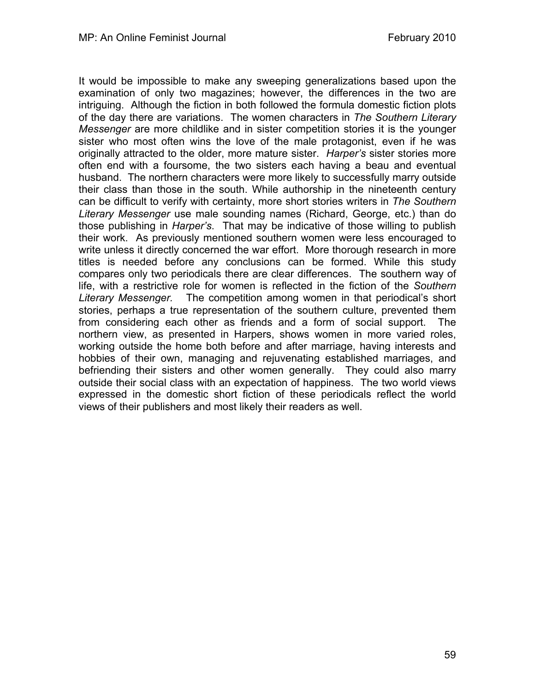It would be impossible to make any sweeping generalizations based upon the examination of only two magazines; however, the differences in the two are intriguing. Although the fiction in both followed the formula domestic fiction plots of the day there are variations. The women characters in *The Southern Literary Messenger* are more childlike and in sister competition stories it is the younger sister who most often wins the love of the male protagonist, even if he was originally attracted to the older, more mature sister. *Harper's* sister stories more often end with a foursome, the two sisters each having a beau and eventual husband. The northern characters were more likely to successfully marry outside their class than those in the south. While authorship in the nineteenth century can be difficult to verify with certainty, more short stories writers in *The Southern Literary Messenger* use male sounding names (Richard, George, etc.) than do those publishing in *Harper's*. That may be indicative of those willing to publish their work. As previously mentioned southern women were less encouraged to write unless it directly concerned the war effort. More thorough research in more titles is needed before any conclusions can be formed. While this study compares only two periodicals there are clear differences. The southern way of life, with a restrictive role for women is reflected in the fiction of the *Southern Literary Messenger.* The competition among women in that periodical's short stories, perhaps a true representation of the southern culture, prevented them from considering each other as friends and a form of social support. The northern view, as presented in Harpers, shows women in more varied roles, working outside the home both before and after marriage, having interests and hobbies of their own, managing and rejuvenating established marriages, and befriending their sisters and other women generally. They could also marry outside their social class with an expectation of happiness. The two world views expressed in the domestic short fiction of these periodicals reflect the world views of their publishers and most likely their readers as well.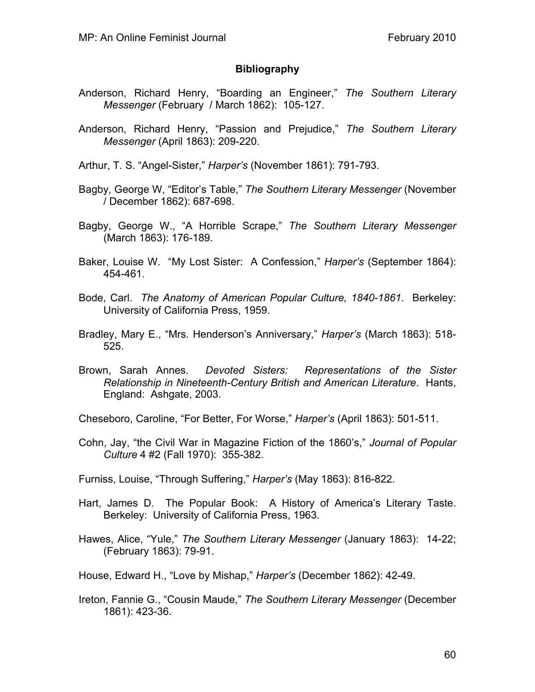## **Bibliography**

- Anderson, Richard Henry, "Boarding an Engineer," *The Southern Literary Messenger* (February / March 1862): 105-127.
- Anderson, Richard Henry, "Passion and Prejudice," *The Southern Literary Messenger* (April 1863): 209-220.
- Arthur, T. S. "Angel-Sister," *Harper's* (November 1861): 791-793.
- Bagby, George W, "Editor's Table," *The Southern Literary Messenger* (November / December 1862): 687-698.
- Bagby, George W., "A Horrible Scrape," *The Southern Literary Messenger* (March 1863): 176-189.
- Baker, Louise W. "My Lost Sister: A Confession," *Harper's* (September 1864): 454-461.
- Bode, Carl. *The Anatomy of American Popular Culture, 1840-1861*. Berkeley: University of California Press, 1959.
- Bradley, Mary E., "Mrs. Henderson's Anniversary," *Harper's* (March 1863): 518- 525.
- Brown, Sarah Annes. *Devoted Sisters: Representations of the Sister Relationship in Nineteenth-Century British and American Literature*. Hants, England: Ashgate, 2003.

Cheseboro, Caroline, "For Better, For Worse," *Harper's* (April 1863): 501-511.

- Cohn, Jay, "the Civil War in Magazine Fiction of the 1860's," *Journal of Popular Culture* 4 #2 (Fall 1970): 355-382.
- Furniss, Louise, "Through Suffering," *Harper's* (May 1863): 816-822.
- Hart, James D. The Popular Book: A History of America's Literary Taste. Berkeley: University of California Press, 1963.
- Hawes, Alice, "Yule," *The Southern Literary Messenger* (January 1863): 14-22; (February 1863): 79-91.
- House, Edward H., "Love by Mishap," *Harper's* (December 1862): 42-49.
- Ireton, Fannie G., "Cousin Maude," *The Southern Literary Messenger* (December 1861): 423-36.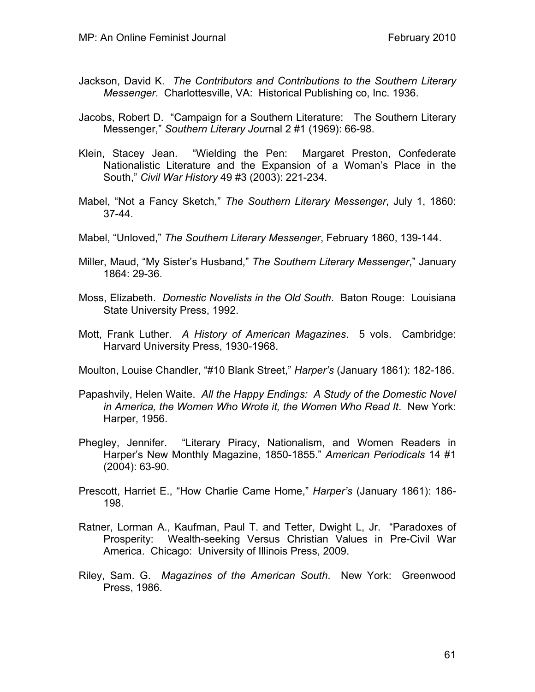- Jackson, David K. *The Contributors and Contributions to the Southern Literary Messenger*. Charlottesville, VA: Historical Publishing co, Inc. 1936.
- Jacobs, Robert D. "Campaign for a Southern Literature: The Southern Literary Messenger," *Southern Literary Jou*rnal 2 #1 (1969): 66-98.
- Klein, Stacey Jean. "Wielding the Pen: Margaret Preston, Confederate Nationalistic Literature and the Expansion of a Woman's Place in the South," *Civil War History* 49 #3 (2003): 221-234.
- Mabel, "Not a Fancy Sketch," *The Southern Literary Messenger*, July 1, 1860: 37-44.
- Mabel, "Unloved," *The Southern Literary Messenger*, February 1860, 139-144.
- Miller, Maud, "My Sister's Husband," *The Southern Literary Messenger*," January 1864: 29-36.
- Moss, Elizabeth. *Domestic Novelists in the Old South*. Baton Rouge: Louisiana State University Press, 1992.
- Mott, Frank Luther. *A History of American Magazines*. 5 vols. Cambridge: Harvard University Press, 1930-1968.
- Moulton, Louise Chandler, "#10 Blank Street," *Harper's* (January 1861): 182-186.
- Papashvily, Helen Waite. *All the Happy Endings: A Study of the Domestic Novel in America, the Women Who Wrote it, the Women Who Read It*. New York: Harper, 1956.
- Phegley, Jennifer. "Literary Piracy, Nationalism, and Women Readers in Harper's New Monthly Magazine, 1850-1855." *American Periodicals* 14 #1 (2004): 63-90.
- Prescott, Harriet E., "How Charlie Came Home," *Harper's* (January 1861): 186- 198.
- Ratner, Lorman A., Kaufman, Paul T. and Tetter, Dwight L, Jr. "Paradoxes of Prosperity: Wealth-seeking Versus Christian Values in Pre-Civil War America. Chicago: University of Illinois Press, 2009.
- Riley, Sam. G. *Magazines of the American South*. New York: Greenwood Press, 1986.